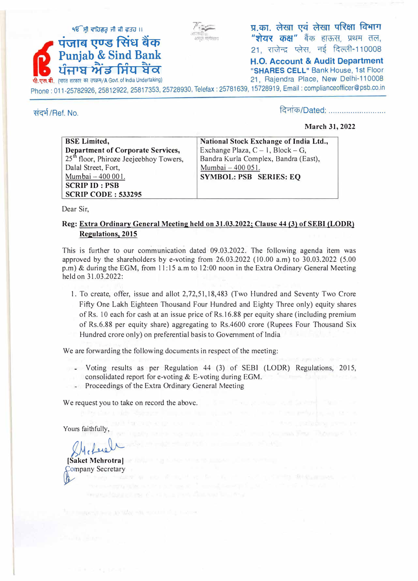

प्र.का. लेखा एवं लेखा परिक्षा विभाग <mark>"शेयर कक्ष"</mark> बैंक हाऊस, प्रथम तल,<br>21, राजेन्द्र प्लेस, नई दिल्ली-110008

**H.O. Account & Audit Department** Phone : 011-25782926, 25812922, 25817353, 25728930, Telefax : 25781639, 15728919, Email : complianceofficer@psb.co.in

संदर्भ/Ref. No.

दिनांक/Dated: ..........................

### **March 31, 2022**

| <b>BSE</b> Limited,                                | National Stock Exchange of India Ltd., |
|----------------------------------------------------|----------------------------------------|
| <b>Department of Corporate Services,</b>           | Exchange Plaza, $C - 1$ , Block – G,   |
| 25 <sup>th</sup> floor, Phiroze Jeejeebhoy Towers, | Bandra Kurla Complex, Bandra (East),   |
| Dalal Street, Fort,                                | Mumbai - 400 051.                      |
| Mumbai - 400 001.                                  | <b>SYMBOL: PSB SERIES: EQ</b>          |
| <b>SCRIP ID: PSB</b>                               |                                        |
| <b>SCRIP CODE: 533295</b>                          |                                        |

*F*

Dear Sir,

## **Reg: Extra Ordinary General Meeting held on 31.03.2022; Clause 44 (3) of SEBI (LODR) Regulations, 2015**

This is further to our communication dated 09.03.2022. The following agenda item was approved by the shareholders by e-voting from 26.03.2022 ( 10.00 a.m) to 30.03.2022 (5.00 p.m) & during the EGM, from 11:15 a.m to 12:00 noon in the Extra Ordinary General Meeting held on 31.03.2022:

1. To create, offer, issue and allot 2,72,51,18,483 (Two Hundred and Seventy Two Crore Fifty One Lakh Eighteen Thousand Four Hundred and Eighty Three only) equity shares of Rs. 10 each for cash at an issue price of Rs.16.88 per equity share (including premium of Rs.6.88 per equity share) aggregating to Rs.4600 crore (Rupees Four Thousand Six Hundred crore only) on preferential basis to Government of India

We are forwarding the following documents in respect of the meeting:

- Voting results as per Regulation 44 (3) of SEBI (LODR) Regulations, 2015, consolidated report for e-voting & E-voting during EGM.
- Proceedings of the Extra Ordinary General Meeting

We request you to take on record the above.

Yours faithfully,

*i�c�*  **[Saket Mehrotra]** 

 $h$ **Company Secretary**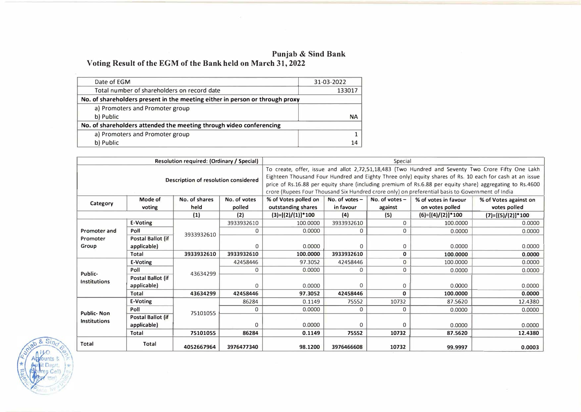#### **Punjab & Sind Bank**

**Voting Result of the EGM of the Bank held on March 31, 2022** 

| Date of EGM                                                                  | 31-03-2022 |
|------------------------------------------------------------------------------|------------|
| Total number of shareholders on record date                                  | 133017     |
| No. of shareholders present in the meeting either in person or through proxy |            |
| a) Promoters and Promoter group                                              |            |
| b) Public                                                                    | NΑ         |
| No. of shareholders attended the meeting through video conferencing          |            |
| a) Promoters and Promoter group                                              |            |
| b) Public                                                                    | 14         |
|                                                                              |            |

| Resolution required: (Ordinary / Special) |                   |               | Special                                                                                                                                                                                                                                                                                                                                                                                                                        |                       |                  |                  |                      |                       |
|-------------------------------------------|-------------------|---------------|--------------------------------------------------------------------------------------------------------------------------------------------------------------------------------------------------------------------------------------------------------------------------------------------------------------------------------------------------------------------------------------------------------------------------------|-----------------------|------------------|------------------|----------------------|-----------------------|
| Description of resolution considered      |                   |               | To create, offer, issue and allot 2,72,51,18,483 (Two Hundred and Seventy Two Crore Fifty One Lakh<br>Eighteen Thousand Four Hundred and Eighty Three only) equity shares of Rs. 10 each for cash at an issue<br>price of Rs.16.88 per equity share (including premium of Rs.6.88 per equity share) aggregating to Rs.4600<br>crore (Rupees Four Thousand Six Hundred crore only) on preferential basis to Government of India |                       |                  |                  |                      |                       |
| Category                                  | Mode of           | No. of shares | No. of votes                                                                                                                                                                                                                                                                                                                                                                                                                   | % of Votes polled on  | No. of votes $-$ | No. of votes $-$ | % of votes in favour | % of Votes against on |
|                                           | voting            | held          | polled                                                                                                                                                                                                                                                                                                                                                                                                                         | outstanding shares    | in favour        | against          | on votes polled      | votes polled          |
|                                           |                   | (1)           | (2)                                                                                                                                                                                                                                                                                                                                                                                                                            | $(3)=[(2)/(1)]$ * 100 | (4)              | (5)              | $(6)=[(4)/(2)]*100$  | $(7)=[(5)/(2)]*100$   |
|                                           | E-Voting          |               | 3933932610                                                                                                                                                                                                                                                                                                                                                                                                                     | 100.0000              | 3933932610       | 0                | 100,0000             | 0.0000                |
| Promoter and                              | Poll              | 3933932610    | 0                                                                                                                                                                                                                                                                                                                                                                                                                              | 0.0000                | 0                | 0                | 0.0000               | 0.0000                |
| Promoter                                  | Postal Ballot (if |               |                                                                                                                                                                                                                                                                                                                                                                                                                                |                       |                  |                  |                      |                       |
| Group                                     | applicable)       |               | $\mathbf{0}$                                                                                                                                                                                                                                                                                                                                                                                                                   | 0.0000                | $\Omega$         | 0                | 0.0000               | 0.0000                |
|                                           | Total             | 3933932610    | 3933932610                                                                                                                                                                                                                                                                                                                                                                                                                     | 100.0000              | 3933932610       | 0                | 100.0000             | 0.0000                |
|                                           | E-Voting          | 43634299      | 42458446                                                                                                                                                                                                                                                                                                                                                                                                                       | 97.3052               | 42458446         | $\overline{0}$   | 100.0000             | 0.0000                |
| Public-                                   | Poll              |               | 0                                                                                                                                                                                                                                                                                                                                                                                                                              | 0.0000                | 0                | 0                | 0.0000               | 0.0000                |
| <b>Institutions</b>                       | Postal Ballot (if |               |                                                                                                                                                                                                                                                                                                                                                                                                                                |                       |                  |                  |                      |                       |
|                                           | applicable)       |               | $\Omega$                                                                                                                                                                                                                                                                                                                                                                                                                       | 0.0000                | 0                | 0                | 0.0000               | 0.0000                |
|                                           | <b>Total</b>      | 43634299      | 42458446                                                                                                                                                                                                                                                                                                                                                                                                                       | 97.3052               | 42458446         | 0                | 100.0000             | 0.0000                |
|                                           | E-Voting          |               | 86284                                                                                                                                                                                                                                                                                                                                                                                                                          | 0.1149                | 75552            | 10732            | 87.5620              | 12.4380               |
| <b>Public-Non</b>                         | Poll              | 75101055      | 0                                                                                                                                                                                                                                                                                                                                                                                                                              | 0.0000                | 0                | 0                | 0.0000               | 0.0000                |
| <b>Institutions</b>                       | Postal Ballot (if |               |                                                                                                                                                                                                                                                                                                                                                                                                                                |                       |                  |                  |                      |                       |
|                                           | applicable)       |               | $\Omega$                                                                                                                                                                                                                                                                                                                                                                                                                       | 0.0000                | 0                | 0                | 0.0000               | 0.0000                |
|                                           | Total             | 75101055      | 86284                                                                                                                                                                                                                                                                                                                                                                                                                          | 0.1149                | 75552            | 10732            | 87.5620              | 12.4380               |
| Total                                     | Total             | 4052667964    | 3976477340                                                                                                                                                                                                                                                                                                                                                                                                                     | 98.1200               | 3976466608       | 10732            | 99.9997              | 0.0003                |

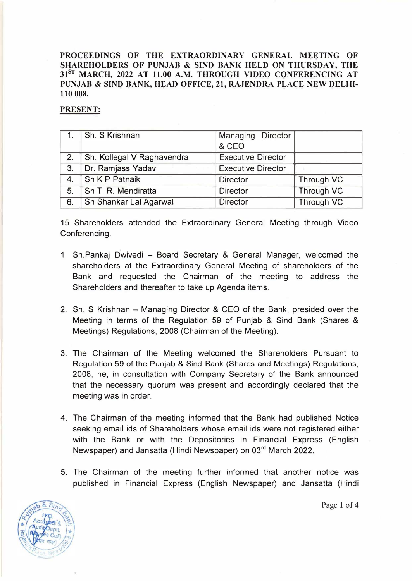**PROCEEDINGS OF THE EXTRAORDINARY GENERAL MEETING OF SHAREHOLDERS OF PUNJAB & SINO BANK HELD ON THURSDAY, THE 318T MARCH, 2022 AT 11.00 A.M. THROUGH VIDEO CONFERENCING AT PUNJAB** & **SIND BANK, HEAD OFFICE, 21, RAJENDRA PLACE NEW DELHI-110 008.** 

### **PRESENT:**

|                | 1. Sh. S Krishnan          | Managing Director         |            |
|----------------|----------------------------|---------------------------|------------|
|                |                            | & CEO                     |            |
| 2.             | Sh. Kollegal V Raghavendra | <b>Executive Director</b> |            |
| 3.             | Dr. Ramjass Yadav          | <b>Executive Director</b> |            |
| 4.             | Sh K P Patnaik             | <b>Director</b>           | Through VC |
| 5 <sub>1</sub> | Sh T. R. Mendiratta        | <b>Director</b>           | Through VC |
| 6.             | Sh Shankar Lal Agarwal     | <b>Director</b>           | Through VC |

15 Shareholders attended the Extraordinary General Meeting through Video Conferencing.

- 1. Sh.Pankaj Dwivedi Board Secretary & General Manager, welcomed the shareholders at the Extraordinary General Meeting of shareholders of the Bank and requested the Chairman of the meeting to address the Shareholders and thereafter to take up Agenda items.
- 2. Sh. S Krishnan Managing Director & CEO of the Bank, presided over the Meeting in terms of the Regulation 59 of Punjab & Sind Bank (Shares & Meetings) Regulations, 2008 (Chairman of the Meeting).
- 3. The Chairman of the Meeting welcomed the Shareholders Pursuant to Regulation 59 of the Punjab & Sind Bank (Shares and Meetings) Regulations, 2008, he, in consultation with Company Secretary of the Bank announced that the necessary quorum was present and accordingly declared that the meeting was in order.
- 4. The Chairman of the meeting informed that the Bank had published Notice seeking email ids of Shareholders whose email ids were not registered either with the Bank or with the Depositories in Financial Express (English Newspaper) and Jansatta (Hindi Newspaper) on 03<sup>rd</sup> March 2022.
- 5. The Chairman of the meeting further informed that another notice was published in Financial Express (English Newspaper) and Jansatta (Hindi



Page 1 of 4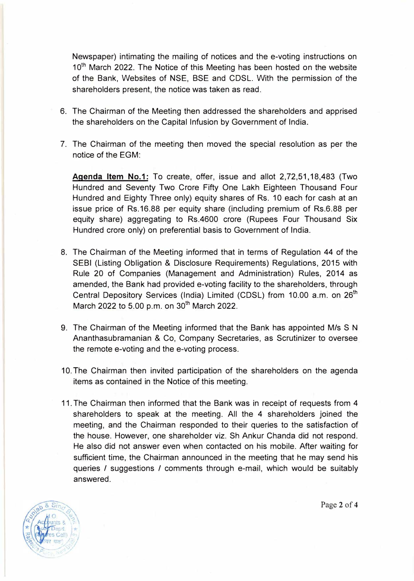Newspaper) intimating the mailing of notices and the e-voting instructions on 10<sup>th</sup> March 2022. The Notice of this Meeting has been hosted on the website of the Bank, Websites of NSE, BSE and CDSL. With the permission of the shareholders present, the notice was taken as read.

- 6. The Chairman of the Meeting then addressed the shareholders and apprised the shareholders on the Capital Infusion by Government of India.
- 7. The Chairman of the meeting then moved the special resolution as per the notice of the EGM:

**Agenda Item No.1:** To create, offer, issue and allot 2,72,51, 18,483 (Two Hundred and Seventy Two Crore Fifty One Lakh Eighteen Thousand Four Hundred and Eighty Three only) equity shares of Rs. 10 each for cash at an issue price of Rs.16.88 per equity share (including premium of Rs.6.88 per equity share) aggregating to Rs.4600 crore (Rupees Four Thousand Six Hundred crore only) on preferential basis to Government of India.

- 8. The Chairman of the Meeting informed that in terms of Regulation 44 of the SEBI (Listing Obligation & Disclosure Requirements) Regulations, 2015 with Rule 20 of Companies (Management and Administration) Rules, 2014 as amended, the Bank had provided e-voting facility to the shareholders, through Central Depository Services (India) Limited (CDSL) from 10.00 a.m. on 26<sup>th</sup> March 2022 to 5.00 p.m. on  $30^{th}$  March 2022.
- 9. The Chairman of the Meeting informed that the Bank has appointed M/s S N Ananthasubramanian & Co, Company Secretaries, as Scrutinizer to oversee the remote e-voting and the e-voting process.
- 10. The Chairman then invited participation of the shareholders on the agenda items as contained in the Notice of this meeting.
- 11. The Chairman then informed that the Bank was in receipt of requests from 4 shareholders to speak at the meeting. All the 4 shareholders joined the meeting, and the Chairman responded to their queries to the satisfaction of the house. However, one shareholder viz. Sh Ankur Chanda did not respond. He also did not answer even when contacted on his mobile. After waiting for sufficient time, the Chairman announced in the meeting that he may send his queries / suggestions / comments through e-mail, which would be suitably answered.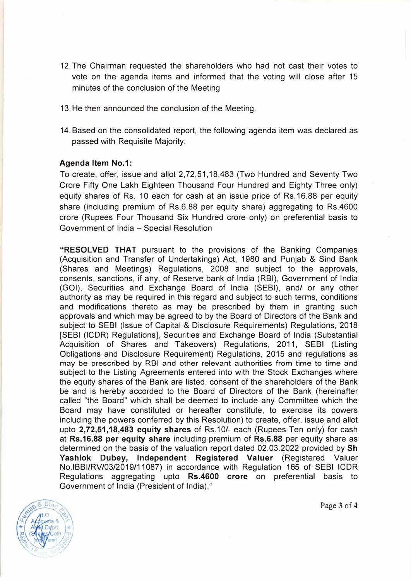- 12. The Chairman requested the shareholders who had not cast their votes to vote on the agenda items and informed that the voting will close after 15 minutes of the conclusion of the Meeting
- 13. He then announced the conclusion of the Meeting.
- 14. Based on the consolidated report, the following agenda item was declared as passed with Requisite Majority:

#### **Agenda Item No.1:**

To create, offer, issue and allot 2,72,51, 18,483 (Two Hundred and Seventy Two Crore Fifty One Lakh Eighteen Thousand Four Hundred and Eighty Three only) equity shares of Rs. 10 each for cash at an issue price of Rs.16.88 per equity share (including premium of Rs.6.88 per equity share) aggregating to Rs.4600 crore (Rupees Four Thousand Six Hundred crore only) on preferential basis to Government of India - Special Resolution

**"RESOLVED THAT** pursuant to the provisions of the Banking Companies (Acquisition and Transfer of Undertakings) Act, 1980 and Punjab & Sind Bank (Shares and Meetings) Regulations, 2008 and subject to the approvals, consents, sanctions, if any, of Reserve bank of India (RBI), Government of India (GOI), Securities and Exchange Board of India (SEBI), and/ or any other authority as may be required in this regard and subject to such terms, conditions and modifications thereto as may be prescribed by them in granting such approvals and which may be agreed to by the Board of Directors of the Bank and subject to SEBI (Issue of Capital & Disclosure Requirements) Regulations, 2018 [SEBI (ICDR) Regulations], Securities and Exchange Board of India (Substantial Acquisition of Shares and Takeovers) Regulations, 2011, SEBI (Listing Obligations and Disclosure Requirement) Regulations, 2015 and regulations as may be prescribed by RBI and other relevant authorities from time to time and subject to the Listing Agreements entered into with the Stock Exchanges where the equity shares of the Bank are listed, consent of the shareholders of the Bank be and is hereby accorded to the Board of Directors of the Bank (hereinafter called "the Board" which shall be deemed to include any Committee which the Board may have constituted or hereafter constitute, to exercise its powers including the powers conferred by this Resolution) to create, offer, issue and allot upto **2,72,51,18,483 equity shares** of Rs.10/- each (Rupees Ten only) for cash at **Rs.16.88 per equity share** including premium of **Rs.6.88** per equity share as determined on the basis of the valuation report dated 02.03.2022 provided by **Sh Yashlok Dubey, Independent Registered Valuer** (Registered Valuer No.lBBI/RV/03/2019/11087) in accordance with Regulation 165 of SEBI ICDR Regulations aggregating upto **Rs.4600 crore** on preferential basis to Government of India (President of India)."



Page 3 of 4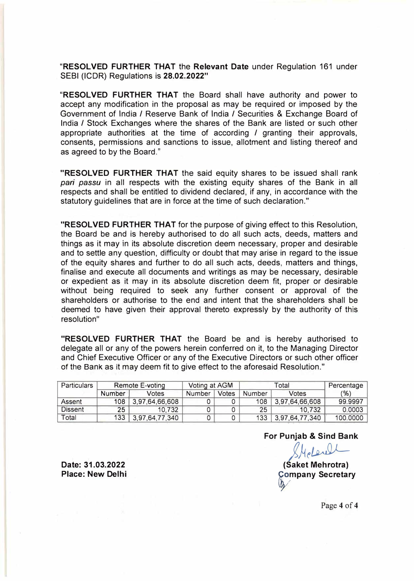**"RESOLVED FURTHER THAT** the **Relevant Date** under Regulation 161 under SEBI (ICDR) Regulations is **28.02.2022"** 

**"RESOLVED FURTHER THAT** the Board shall have authority and power to accept any modification in the proposal as may be required or imposed by the Government of India/ Reserve Bank of India / Securities & Exchange Board of India / Stock Exchanges where the shares of the Bank are listed or such other appropriate authorities at the time of according / granting their approvals, consents, permissions and sanctions to issue, allotment and listing thereof and as agreed to by the Board."

**"RESOLVED FURTHER THAT** the said equity shares to be issued shall rank *pari passu* in all respects with the existing equity shares of the Bank in all respects and shall be entitled to dividend declared, if any, in accordance with the statutory guidelines that are in force at the time of such declaration."

**"RESOLVED FURTHER THAT** for the purpose of giving effect to this Resolution, the Board be and is hereby authorised to do all such acts, deeds, matters and things as it may in its absolute discretion deem necessary, proper and desirable and to settle any question, difficulty or doubt that may arise in regard to the issue of the equity shares and further to do all such acts, deeds, matters and things, finalise and execute all documents and writings as may be necessary, desirable or expedient as it may in its absolute discretion deem fit, proper or desirable without being required to seek any further consent or approval of the shareholders or authorise to the end and intent that the shareholders shall be deemed to have given their approval thereto expressly by the authority of this resolution"

**"RESOLVED FURTHER THAT** the Board be and is hereby authorised to delegate all or any of the powers herein conferred on it, to the Managing Director and Chief Executive Officer or any of the Executive Directors or such other officer of the Bank as it may deem fit to give effect to the aforesaid Resolution."

| Particulars    | Remote E-voting        |                | Voting at AGM |       |        | Percentage     |          |
|----------------|------------------------|----------------|---------------|-------|--------|----------------|----------|
|                | <b>Number</b><br>Votes |                | Number        | Votes | Number | Votes          | (%)      |
| Assent         | 108                    | 3,97,64,66,608 |               |       | 108    | 3,97,64,66,608 | 99.9997  |
| <b>Dissent</b> | 25                     | 10.732         |               |       | 25     | 10.732         | 0.0003   |
| Total          | 133                    | 3,97,64,77,340 |               |       | 133    | 3,97,64,77,340 | 100.0000 |

**For Punjab & Sind Bank** 

SHelenel

**(Saket Mehrotra)**   $\mathbf{b}$ **mpany Secretary**

**Date: 31.03.2022 Place: New Delhi**

Page 4 of 4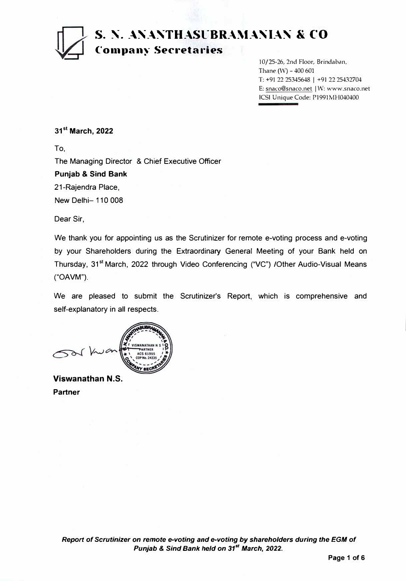# **S. N. ANANTHASUBRAMANIAN & CO (·01npany Sec1·etaries**

10/25-26, 2nd Floor, Brindaban, Thane  $(W)$  - 400 601 T: +91 22 25345648 | +91 22 25432704 E: snaco@snaco.net | W: www.snaco.net JCS! Unique Code: P1991MH040400

**31 st March, 2022** 

To,

The Managing Director & Chief Executive Officer

### **Punjab** & **Sind Bank**

21-Rajendra Place,

New Delhi- 110 008

Dear Sir,

We thank you for appointing us as the Scrutinizer for remote e-voting process and e-voting by your Shareholders during the Extraordinary General Meeting of your Bank held on Thursday, 31<sup>st</sup> March, 2022 through Video Conferencing ("VC") /Other Audio-Visual Means ("OAVM").

We are pleased to submit the Scrutinizer's Report, which is comprehensive and self-explanatory in all respects.

**Viswanathan N.S. Partner**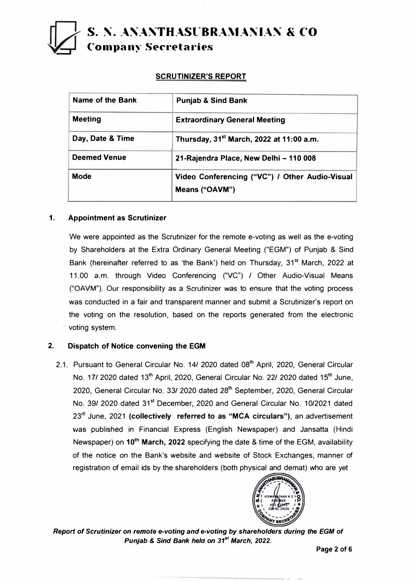# **S. N. ANANTHASUBRAMANIAN & CO C-01npan�- Se<-retaries**

## **SCRUTINIZER'S REPORT**

| Name of the Bank    | <b>Punjab &amp; Sind Bank</b>                                    |
|---------------------|------------------------------------------------------------------|
| <b>Meeting</b>      | <b>Extraordinary General Meeting</b>                             |
| Day, Date & Time    | Thursday, 31 <sup>st</sup> March, 2022 at 11:00 a.m.             |
| <b>Deemed Venue</b> | 21-Rajendra Place, New Delhi - 110 008                           |
| <b>Mode</b>         | Video Conferencing ("VC") / Other Audio-Visual<br>Means ("OAVM") |
|                     |                                                                  |

### **1. Appointment as Scrutinizer**

We were appointed as the Scrutinizer for the remote e-voting as well as the e-voting by Shareholders at the Extra Ordinary General Meeting ("EGM") of Punjab & Sind Bank (hereinafter referred to as 'the Bank') held on Thursday, 31**st** March, 2022 at 11.00 a.m. through Video Conferencing ("VC") / Other Audio-Visual Means ("OAVM"). Our responsibility as a Scrutinizer was to ensure that the voting process was conducted in a fair and transparent manner and submit a Scrutinizer's report on the voting on the resolution, based on the reports generated from the electronic voting system.

## **2. Dispatch of Notice convening the EGM**

2.1. Pursuant to General Circular No. 14/ 2020 dated 08**th** April, 2020, General Circular No. 17/ 2020 dated 13**th** April, 2020, General Circular No. 22/ 2020 dated 15**th** June, 2020, General Circular No. 33/ 2020 dated 28**th** September, 2020, General Circular No. 39/ 2020 dated 31**st** December, 2020 and General Circular No. 10/2021 dated 23rd June, 2021 **(collectively referred to as "MCA circulars"},** an advertisement was published in Financial Express (English Newspaper) and Jansatta (Hindi Newspaper) on **10**th **March, 2022** specifying the date & time of the EGM, availability of the notice on the Bank's website and website of Stock Exchanges, manner of registration of email ids by the shareholders (both physical and demat) who are yet



*Report of Scrutinizer on remote e-voting and e-voting by shareholders during the EGM of Punjab* **&** *Sind Bank held on 31st March, 2022.*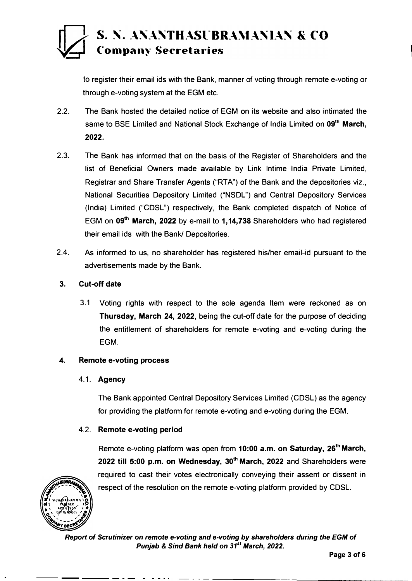# S. N. ANANTHASUBRAMANIAN & CO **Company Secretaries**

to register their email ids with the Bank, manner of voting through remote e-voting or through e-voting system at the EGM etc.

- 2.2. The Bank hosted the detailed notice of EGM on its website and also intimated the same to BSE Limited and National Stock Exchange of India Limited on **09th March, 2022.**
- 2.3. The Bank has informed that on the basis of the Register of Shareholders and the list of Beneficial Owners made available by Link lntime India Private Limited, Registrar and Share Transfer Agents ("RTA") of the Bank and the depositories viz., National Securities Depository Limited ("NSDL") and Central Depository Services (India) Limited ("CDSL") respectively, the Bank completed dispatch of Notice of EGM on **09th March, 2022** by e-mail to **1,14,738** Shareholders who had registered their email ids with the Bank/ Depositories.
- 2.4. As informed to us, no shareholder has registered his/her email-id pursuant to the advertisements made by the Bank.

## **3. Cut-off date**

3.1 Voting rights with respect to the sole agenda Item were reckoned as on **Thursday, March 24, 2022,** being the cut-off date for the purpose of deciding the entitlement of shareholders for remote e-voting and e-voting during the EGM.

## **4. Remote e-voting process**

## **4.1. Agency**

The Bank appointed Central Depository Services Limited (CDSL) as the agency for providing the platform for remote e-voting and e-voting during the EGM.

## **4.2. Remote e-voting period**

Remote e-voting platform was open from **10:00 a.m. on Saturday, 26th March, 2022 till 5:00 p.m. on Wednesday, 30th March, 2022** and Shareholders were required to cast their votes electronically conveying their assent or dissent in respect of the resolution on the remote e-voting platform provided by CDSL.



*Report* **of** *Scrutinizer* **on** *remote e-voting and e-voting by shareholders during the EGM* **of**  *Punjab* **&** *Sind Bank held* **on** *31st March, 2022.*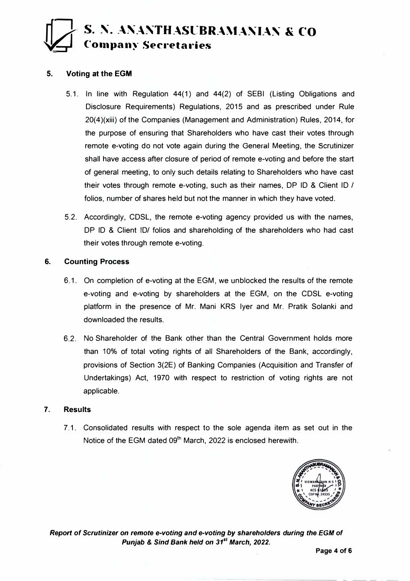## **S. N. ANANTHASUBRAMANIAN & CO** *o/---=:r-1* ( **01upany Secreta1·1es**

### **5. Voting at the EGM**

- 5.1. In line with Regulation 44(1) and 44(2) of SEBI (Listing Obligations and Disclosure Requirements) Regulations, 2015 and as prescribed under Rule 20(4)(xiii) of the Companies (Management and Administration) Rules, 2014, for the purpose of ensuring that Shareholders who have cast their votes through remote e-voting do not vote again during the General Meeting, the Scrutinizer shall have access after closure of period of remote e-voting and before the start of general meeting, to only such details relating to Shareholders who have cast their votes through remote e-voting, such as their names, DP ID & Client ID / folios, number of shares held but not the manner in which they have voted.
- 5.2. Accordingly, CDSL, the remote e-voting agency provided us with the names, DP ID & Client ID/ folios and shareholding of the shareholders who had cast their votes through remote e-voting.

### **6. Counting Process**

- 6.1. On completion of e-voting at the EGM, we unblocked the results of the remote e-voting and e-voting by shareholders at the EGM, on the CDSL e-voting platform in the presence of Mr. Mani KRS Iyer and Mr. Pratik Solanki and downloaded the results.
- 6.2. No Shareholder of the Bank other than the Central Government holds more than 10% of total voting rights of all Shareholders of the Bank, accordingly, provisions of Section 3(2E) of Banking Companies (Acquisition and Transfer of Undertakings) Act, 1970 with respect to restriction of voting rights are not applicable.

### **7. Results**

7 .1. Consolidated results with respect to the sole agenda item as set out in the Notice of the EGM dated 09<sup>th</sup> March, 2022 is enclosed herewith.



*Report of Scrutinizer on remote e-voting and e-voting by shareholders during the EGM of Punjab* **&** *Sind Bank held on 31st March, 2022.*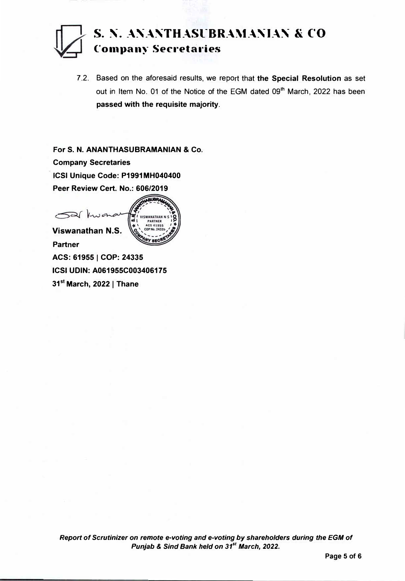## **S. �- \_.\�-.\�TH\_.\Sl-BR\_.\\t\_.\�I\_.\� & C"O Co1npany Secreta1·ies**

**7.2. Based on the aforesaid results, we report that the Special Resolution as set out in Item No. 01 of the Notice of the EGM dated 09th March, 2022 has been passed with the requisite majority.** 

**For S. N. ANANTHASUBRAMANIAN & Co. Company Secretaries ICSI Unique Code: P1991MH040400 Peer Review Cert. No.: 606/2019** 



**Partner ACS: 619551 COP: 24335 ICSI UDIN: A061955C003406175 <sup>31</sup>st March, 20221 Thane**